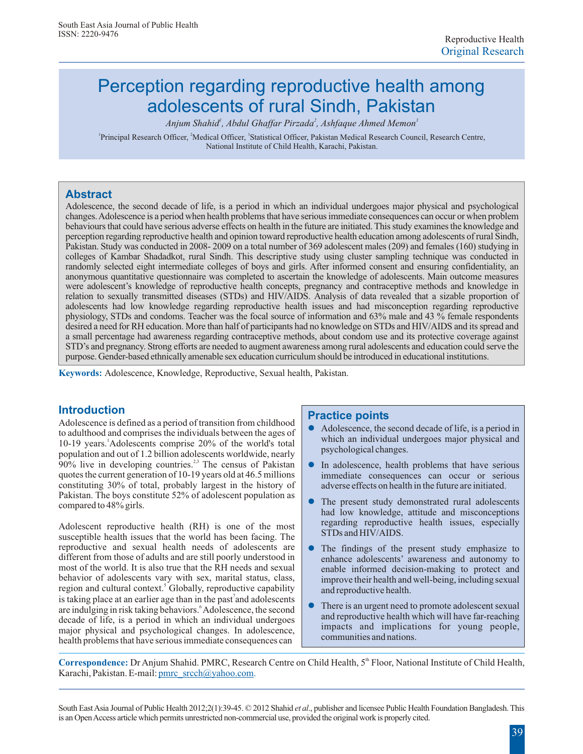# Perception regarding reproductive health among adolescents of rural Sindh, Pakistan

*1 2 3 Anjum Shahid , Abdul Ghaffar Pirzada , Ashfaque Ahmed Memon*

<sup>1</sup> Principal Research Officer, <sup>2</sup> Medical Officer, <sup>3</sup> Statistical Officer, Pakistan Medical Research Council, Research Centre, National Institute of Child Health, Karachi, Pakistan.

# **Abstract**

Adolescence, the second decade of life, is a period in which an individual undergoes major physical and psychological changes.Adolescence is a period when health problems that have serious immediate consequences can occur or when problem behaviours that could have serious adverse effects on health in the future are initiated. This study examines the knowledge and perception regarding reproductive health and opinion toward reproductive health education among adolescents of rural Sindh, Pakistan. Study was conducted in 2008- 2009 on a total number of 369 adolescent males (209) and females (160) studying in colleges of Kambar Shadadkot, rural Sindh. This descriptive study using cluster sampling technique was conducted in randomly selected eight intermediate colleges of boys and girls. After informed consent and ensuring confidentiality, an anonymous quantitative questionnaire was completed to ascertain the knowledge of adolescents. Main outcome measures were adolescent's knowledge of reproductive health concepts, pregnancy and contraceptive methods and knowledge in relation to sexually transmitted diseases (STDs) and HIV/AIDS. Analysis of data revealed that a sizable proportion of adolescents had low knowledge regarding reproductive health issues and had misconception regarding reproductive physiology, STDs and condoms. Teacher was the focal source of information and 63% male and 43 % female respondents desired a need for RH education. More than half of participants had no knowledge on STDs and HIV/AIDS and its spread and a small percentage had awareness regarding contraceptive methods, about condom use and its protective coverage against STD's and pregnancy.Strong efforts are needed to augment awareness among rural adolescents and education could serve the purpose. Gender-based ethnically amenable sex education curriculum should be introduced in educational institutions.

**Keywords:** Adolescence, Knowledge, Reproductive, Sexual health, Pakistan.

# **Introduction**

Adolescence is defined as a period of transition from childhood to adulthood and comprises the individuals between the ages of 1 10-19 years. Adolescents comprise 20% of the world's total population and out of 1.2 billion adolescents worldwide, nearly  $90\%$  live in developing countries.<sup>2,3</sup> The census of Pakistan quotes the current generation of 10-19 years old at 46.5 millions constituting 30% of total, probably largest in the history of Pakistan. The boys constitute 52% of adolescent population as compared to 48% girls.

Adolescent reproductive health (RH) is one of the most susceptible health issues that the world has been facing. The reproductive and sexual health needs of adolescents are different from those of adults and are still poorly understood in most of the world. It is also true that the RH needs and sexual behavior of adolescents vary with sex, marital status, class, region and cultural context.<sup>5</sup> Globally, reproductive capability is taking place at an earlier age than in the past<sup>7</sup> and adolescents are indulging in risk taking behaviors.<sup>6</sup> Adolescence, the second decade of life, is a period in which an individual undergoes major physical and psychological changes. In adolescence, health problems that have serious immediate consequences can

### **Practice points**

- $\bullet$ Adolescence, the second decade of life, is a period in which an individual undergoes major physical and psychological changes.
- l In adolescence, health problems that have serious immediate consequences can occur or serious adverse effects on health in the future are initiated.
- $\bullet$ The present study demonstrated rural adolescents had low knowledge, attitude and misconceptions regarding reproductive health issues, especially STDs and HIV/AIDS.
- $\bullet$ The findings of the present study emphasize to enhance adolescents' awareness and autonomy to enable informed decision-making to protect and improve their health and well-being, including sexual and reproductive health.
- There is an urgent need to promote adolescent sexual and reproductive health which will have far-reaching impacts and implications for young people, communities and nations.

Correspondence: Dr Anjum Shahid. PMRC, Research Centre on Child Health, 5<sup>th</sup> Floor, National Institute of Child Health, Karachi, Pakistan. E-mail: **pmrc\_srcch@yahoo.com.** 

South EastAsia Journal of Public Health 2012;2(1):39-45. © 2012 Shahid *et al*., publisher and licensee Public Health Foundation Bangladesh. This is an OpenAccess article which permits unrestricted non-commercial use, provided the original work is properly cited.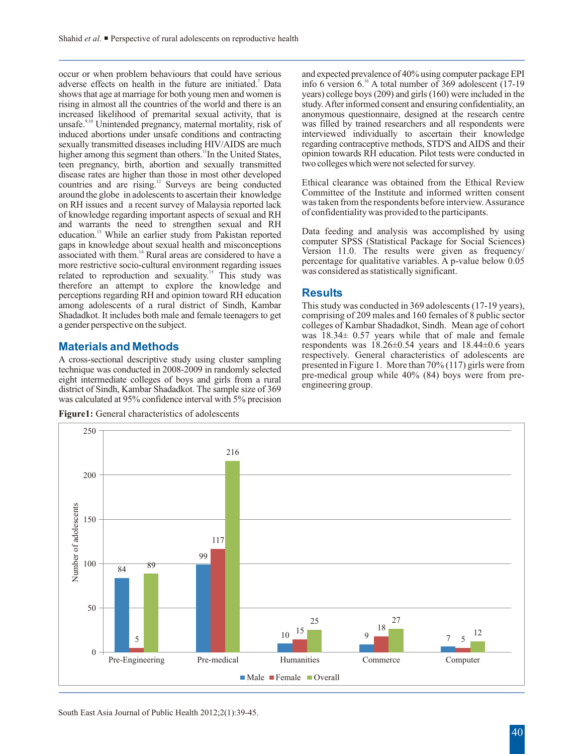occur or when problem behaviours that could have serious and expected prevalence of 40% using computer package EPI adverse effects on health in the future are initiated.<sup>7</sup> Data info 6 version 6.<sup>16</sup> A total number of 369 adolescent (17-19 shows that age at marriage for both young men and women is years) college boys (209) and girls ( shows that age at marriage for both young men and women is rising in almost all the countries of the world and there is an rising in almost all the countries of the world and there is an study. After informed consent and ensuring confidentiality, an increased likelihood of premarital sexual activity, that is anonymous questionnaire, designed a unsafe.<sup>9,10</sup> Unintended pregnancy, maternal mortality, risk of was filled by trained researchers and all respondents were induced abortions under unsafe conditions and contracting interviewed individually to ascertain the induced abortions under unsafe conditions and contracting interviewed individually to ascertain their knowledge sexually transmitted diseases including HIV/AIDS are much regarding contraceptive methods, STD'S and AIDS and sexually transmitted diseases including HIV/AIDS are much regarding contraceptive methods, STD'S and AIDS and their<br>higher among this segment than others. <sup>11</sup>In the United States opinion towards RH education. Pilot tests 11 higher among this segment than others. In the United States, opinion towards RH education. Pilot tests were teen pregnancy, birth, abortion and sexually transmitted two colleges which were not selected for survey. teen pregnancy, birth, abortion and sexually transmitted disease rates are higher than those in most other developed 12 countries and are rising.<sup>12</sup> Surveys are being conducted Ethical clearance was obtained from the Ethical Review countries around the globe in adolescents to ascertain their knowledge Committee of the Institute and info around the globe in adolescents to ascertain their knowledge Committee of the Institute and informed written consent<br>on RH issues and a recent survey of Malaysia reported lack was taken from the respondents before intervie on RH issues and a recent survey of Malaysia reported lack was taken from the respondents before interview. A<br>of knowledge regarding important aspects of sexual and RH of confidentiality was provided to the participants. of knowledge regarding important aspects of sexual and RH and warrants the need to strengthen sexual and RH 13 Data feeding and analysis was accomplished by using education.<sup>13</sup> While an earlier study from Pakistan reported computer SPSS (Statistical Package for Social Sciences) computer SPSS (Statistical Package for Social Scie associated with them.<sup>14</sup> Rural areas are considered to have a<br>more restrictive socio-cultural environment regarding issues<br>more restrictive socio-cultural environment regarding issues<br>was considered as statistically sign related to reproduction and sexuality.<sup>15</sup> This study was therefore an attempt to explore the knowledge and perceptions regarding RH and opinion toward RH education<br>among adolescents of a rural district of Sindh, Kambar among adolescents of a rural district of Sindh, Kambar This study was conducted in 369 adolescents (17-19 years),<br>Shadadkot. It includes both male and female teenagers to get comprising of 209 males and 160 females of 8 pu Shadadkot. It includes both male and female teenagers to get comprising of 209 males and 160 females of 8 public sector a gender perspective on the subject.

# **Materials and Methods**

A cross-sectional descriptive study using cluster sampling<br>technique was conducted in 2008-2009 in randomly selected<br>eight intermediate colleges of boys and girls from a rural<br>district of Sindh. Kambar Shadadkot. The sampl was calculated at 95% confidence interval with 5% precision

**Figure1:** General characteristics of adolescents

info 6 version 6.<sup>16</sup> A total number of 369 adolescent (17-19) anonymous questionnaire, designed at the research centre was filled by trained researchers and all respondents were

### **Results**

colleges of Kambar Shadadkot, Sindh. Mean age of cohort was 18.34± 0.57 years while that of male and female respondents was 18.26±0.54 years and 18.44±0.6 years

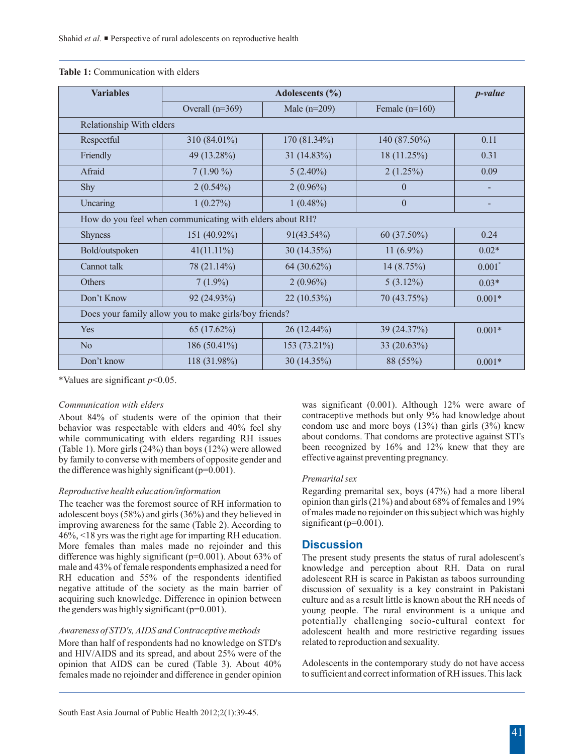| <b>Variables</b>                                         |                   | $p$ -value     |                  |                      |  |
|----------------------------------------------------------|-------------------|----------------|------------------|----------------------|--|
|                                                          | Overall $(n=369)$ | Male $(n=209)$ | Female $(n=160)$ |                      |  |
| Relationship With elders                                 |                   |                |                  |                      |  |
| Respectful                                               | 310 (84.01%)      | 170 (81.34%)   | 140 (87.50%)     | 0.11                 |  |
| Friendly                                                 | 49 (13.28%)       | 31 (14.83%)    | 18 (11.25%)      | 0.31                 |  |
| Afraid                                                   | $7(1.90\%)$       | $5(2.40\%)$    | $2(1.25\%)$      | 0.09                 |  |
| Shy                                                      | $2(0.54\%)$       | $2(0.96\%)$    | $\theta$         |                      |  |
| Uncaring                                                 | 1(0.27%)          | $1(0.48\%)$    | $\theta$         |                      |  |
| How do you feel when communicating with elders about RH? |                   |                |                  |                      |  |
| <b>Shyness</b>                                           | 151 (40.92%)      | $91(43.54\%)$  | 60 (37.50%)      | 0.24                 |  |
| Bold/outspoken                                           | $41(11.11\%)$     | 30 $(14.35\%)$ | 11 $(6.9\%)$     | $0.02*$              |  |
| Cannot talk                                              | 78 (21.14%)       | 64 (30.62%)    | 14(8.75%)        | $0.001$ <sup>*</sup> |  |
| <b>Others</b>                                            | $7(1.9\%)$        | $2(0.96\%)$    | $5(3.12\%)$      | $0.03*$              |  |
| Don't Know                                               | 92 (24.93%)       | 22 (10.53%)    | 70 (43.75%)      | $0.001*$             |  |
| Does your family allow you to make girls/boy friends?    |                   |                |                  |                      |  |
| Yes                                                      | 65 (17.62%)       | 26 (12.44%)    | 39 (24.37%)      | $0.001*$             |  |
| No                                                       | 186 (50.41%)      | 153 (73.21%)   | 33 (20.63%)      |                      |  |
| Don't know                                               | 118 (31.98%)      | 30 (14.35%)    | 88 (55%)         | $0.001*$             |  |

### **Table 1:** Communication with elders

\*Values are significant *p*<0.05.

(Table 1). More girls (24%) than boys (12%) were allowed been recognized by 16% and 12% k<br>by family to converse with members of opposite gender and effective against preventing pregnancy. by family to converse with members of opposite gender and the difference was highly significant ( $p=0.001$ ).

adolescent boys (58%) and girls (36%) and they believed in of males made no rejoint improving awareness for the same (Table 2). According to significant (p=0.001). improving awareness for the same (Table 2). According to 46%, <18 yrs was the right age for imparting RH education. More females than males made no rejoinder and this difference was highly significant  $(p=0.001)$ . About 63% of difference was highly significant ( $p=0.001$ ). About 63% of The present study presents the status of rural adolescent's male and 43% of female respondents emphasized a need for knowledge and perception about RH. Data on r male and 43% of female respondents emphasized a need for knowledge and perception about RH. Data on rural RH education and 55% of the respondents identified adolescent RH is scarce in Pakistan as taboos surrounding RH education and 55% of the respondents identified adolescent RH is scarce in Pakistan as taboos surrounding negative attitude of the society as the main barrier of discussion of sexuality is a key constraint in Pakistani

More than half of respondents had no knowledge on STD's related to reproduction and sexuality. and HIV/AIDS and its spread, and about 25% were of the opinion that AIDS can be cured (Table 3). About 40% Adolescents in the contemporary study do not have access females made no reioinder and difference in gender opinion to sufficient and correct information of RH issues. Th females made no rejoinder and difference in gender opinion

*Communication with elders* was significant (0.001). Although 12% were aware of About 84% of students were of the opinion that their contraceptive methods but only 9% had knowledge about About 84% of students were of the opinion that their contraceptive methods but only 9% had knowledge about heliavior was respectable with elders and 40% feel shy condom use and more boys (13%) than girls (3%) knew behavior was respectable with elders and 40% feel shy<br>while communicating with elders regarding RH issues about condoms. That condoms are protective against STI's while communicating with elders regarding RH issues about condoms. That condoms are protective against STI's (Table 1) More girls (24%) than hovs (12%) were allowed been recognized by 16% and 12% knew that they are

### *Premarital sex*

*Reproductive health education/information*<br>The teacher was the foremost source of RH information to opinion than girls (21%) and about 68% of females and 19% The teacher was the foremost source of RH information to opinion than girls (21%) and about 68% of females and 19% adolescent hovs (58%) and girls (36%) and they believed in of males made no rejoinder on this subject whic

### **Discussion**

negative attitude of the society as the main barrier of discussion of sexuality is a key constraint in Pakistani acquiring such knowledge. Difference in opinion between culture and as a result little is known about the RH acquiring such knowledge. Difference in opinion between culture and as a result little is known about the RH needs of the genders was highly significant  $(p=0.001)$ . young people. The rural environment is a unique and potentially challenging socio-cultural context for *Awareness of STD's, AIDS and Contraceptive methods* adolescent health and more restrictive regarding issues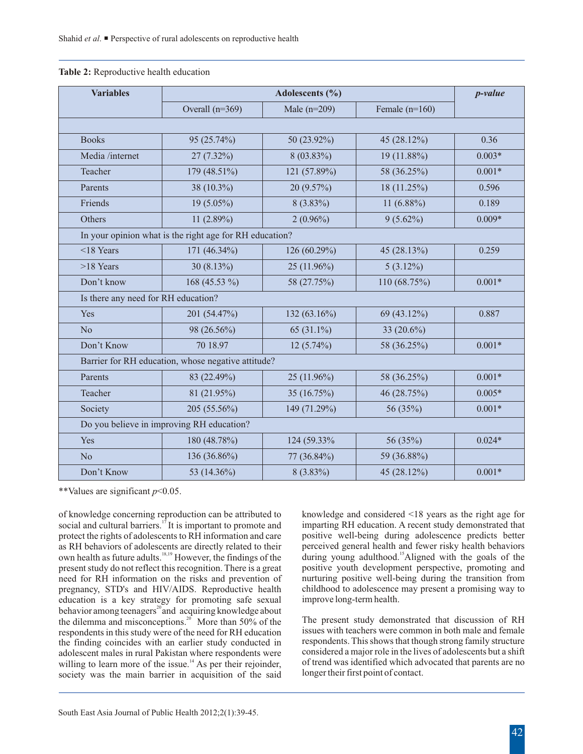| <b>Variables</b>                                        | Adolescents (%)                                    |                |                  | p-value  |  |  |
|---------------------------------------------------------|----------------------------------------------------|----------------|------------------|----------|--|--|
|                                                         | Overall $(n=369)$                                  | Male $(n=209)$ | Female $(n=160)$ |          |  |  |
|                                                         |                                                    |                |                  |          |  |  |
| <b>Books</b>                                            | 95 (25.74%)                                        | 50 (23.92%)    | 45 (28.12%)      | 0.36     |  |  |
| Media /internet                                         | 27 (7.32%)                                         | 8 (03.83%)     | 19 (11.88%)      | $0.003*$ |  |  |
| Teacher                                                 | 179 (48.51%)                                       | 121 (57.89%)   | 58 (36.25%)      | $0.001*$ |  |  |
| Parents                                                 | 38 (10.3%)                                         | 20 (9.57%)     | 18 (11.25%)      | 0.596    |  |  |
| Friends                                                 | 19 (5.05%)                                         | $8(3.83\%)$    | 11 $(6.88\%)$    | 0.189    |  |  |
| Others                                                  | 11 $(2.89%)$                                       | $2(0.96\%)$    | $9(5.62\%)$      | $0.009*$ |  |  |
| In your opinion what is the right age for RH education? |                                                    |                |                  |          |  |  |
| $<$ 18 Years                                            | 171 (46.34%)                                       | 126 (60.29%)   | 45 (28.13%)      | 0.259    |  |  |
| >18 Years                                               | 30 $(8.13\%)$                                      | 25 (11.96%)    | $5(3.12\%)$      |          |  |  |
| Don't know                                              | 168 (45.53 %)                                      | 58 (27.75%)    | 110 (68.75%)     | $0.001*$ |  |  |
| Is there any need for RH education?                     |                                                    |                |                  |          |  |  |
| Yes                                                     | 201 (54.47%)                                       | 132 (63.16%)   | 69 (43.12%)      | 0.887    |  |  |
| N <sub>o</sub>                                          | 98 (26.56%)                                        | 65 (31.1%)     | 33 (20.6%)       |          |  |  |
| Don't Know                                              | 70 18.97                                           | $12(5.74\%)$   | 58 (36.25%)      | $0.001*$ |  |  |
|                                                         | Barrier for RH education, whose negative attitude? |                |                  |          |  |  |
| Parents                                                 | 83 (22.49%)                                        | 25 (11.96%)    | 58 (36.25%)      | $0.001*$ |  |  |
| Teacher                                                 | 81 (21.95%)                                        | 35 (16.75%)    | 46 (28.75%)      | $0.005*$ |  |  |
| Society                                                 | 205 (55.56%)                                       | 149 (71.29%)   | 56 (35%)         | $0.001*$ |  |  |
|                                                         | Do you believe in improving RH education?          |                |                  |          |  |  |
| Yes                                                     | 180 (48.78%)                                       | 124 (59.33%)   | 56 (35%)         | $0.024*$ |  |  |
| No                                                      | 136 (36.86%)                                       | 77 (36.84%)    | 59 (36.88%)      |          |  |  |
| Don't Know                                              | 53 (14.36%)                                        | $8(3.83\%)$    | 45 (28.12%)      | $0.001*$ |  |  |

### **Table 2:** Reproductive health education

\*\*Values are significant *p*<0.05.

of knowledge concerning reproduction can be attributed to knowledge and considered <18 years as the right age for 17 social and cultural barriers.<sup>17</sup> It is important to promote and imparting RH education. A recent study demonstrated that protect the rights of adolescents to RH information and care positive well-being during adolescen protect the rights of adolescents to RH information and care positive well-being during adolescence predicts better as RH behaviors of adolescents are directly related to their perceived general health and fewer risky heal as RH behaviors of adolescents are directly related to their perceived general health and fewer risky health behaviors own health as future adults.  $\frac{18.19}{10.81}$  However, the findings of the during young adulthood. Al own health as future adults. <sup>18,19</sup> However, the findings of the during young adulthood. <sup>15</sup> Aligned with the goals of the present study do not reflect this recognition. There is a great positive youth development perspe present study do not reflect this recognition. There is a great positive youth development perspective, promoting and need for RH information on the risks and prevention of nurturing positive well-being during the transiti need for RH information on the risks and prevention of pregnancy, STD's and HIV/AIDS. Reproductive health education is a key strategy for promoting safe sexual behavior among teenagers<sup>20</sup> and acquiring knowledge about the dilemma and misconceptions.<sup>20</sup> More than 50% of the The present study demonstrated that discussion of RH respondents in this study were of the need for RH education issues with teachers were common in both male and f respondents in this study were of the need for RH education issues with teachers were common in both male and female<br>the finding coincides with an earlier study conducted in respondents. This shows that though strong famil the finding coincides with an earlier study conducted in respondents. This shows that though strong family structure adolescent males in rural Pakistan where respondents were considered a major role in the lives of adolesc adolescent males in rural Pakistan where respondents were considered a major role in the lives of adolescents but a shift<br>willing to learn more of the issue <sup>14</sup> As per their rejoinder of trend was identified which advocat willing to learn more of the issue.<sup>14</sup> As per their rejoinder, of trend was identified which advocated that parents are no society was the main barrier in acquisition of the said longer their first point of contact.

childhood to adolescence may present a promising way to improve long-term health.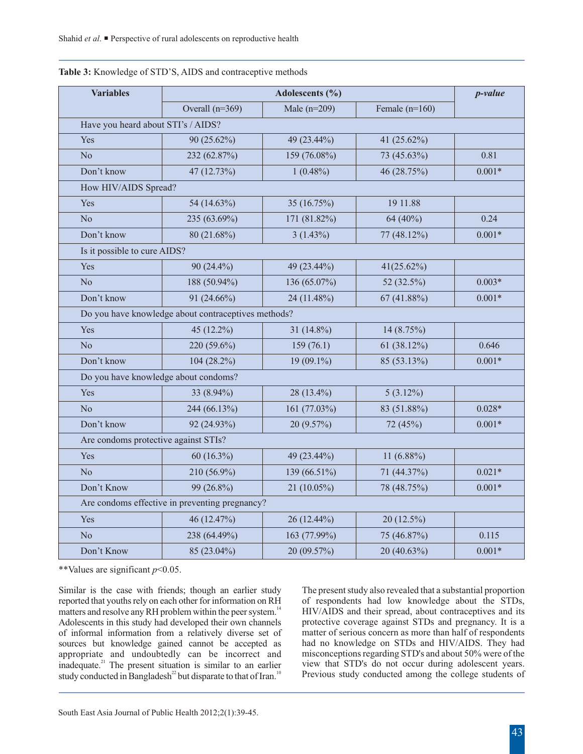| <b>Variables</b>                     | Adolescents (%)                                     |                |                  | p-value  |
|--------------------------------------|-----------------------------------------------------|----------------|------------------|----------|
|                                      | Overall $(n=369)$                                   | Male $(n=209)$ | Female $(n=160)$ |          |
| Have you heard about STI's / AIDS?   |                                                     |                |                  |          |
| Yes                                  | 90 (25.62%)                                         | 49 (23.44%)    | 41 (25.62%)      |          |
| N <sub>o</sub>                       | 232 (62.87%)                                        | 159 (76.08%)   | 73 (45.63%)      | 0.81     |
| Don't know                           | 47 (12.73%)                                         | $1(0.48\%)$    | 46 (28.75%)      | $0.001*$ |
| How HIV/AIDS Spread?                 |                                                     |                |                  |          |
| Yes                                  | 54 (14.63%)                                         | 35 (16.75%)    | 19 11.88         |          |
| N <sub>o</sub>                       | 235 (63.69%)                                        | 171 (81.82%)   | 64 (40%)         | 0.24     |
| Don't know                           | 80 (21.68%)                                         | $3(1.43\%)$    | 77 (48.12%)      | $0.001*$ |
| Is it possible to cure AIDS?         |                                                     |                |                  |          |
| Yes                                  | $90(24.4\%)$                                        | 49 (23.44%)    | $41(25.62\%)$    |          |
| N <sub>o</sub>                       | 188 (50.94%)                                        | 136 (65.07%)   | 52 (32.5%)       | $0.003*$ |
| Don't know                           | 91 (24.66%)                                         | 24 (11.48%)    | 67 (41.88%)      | $0.001*$ |
|                                      | Do you have knowledge about contraceptives methods? |                |                  |          |
| Yes                                  | 45 (12.2%)                                          | 31 (14.8%)     | 14 (8.75%)       |          |
| N <sub>o</sub>                       | 220 (59.6%)                                         | 159(76.1)      | 61 (38.12%)      | 0.646    |
| Don't know                           | 104 (28.2%)                                         | 19 (09.1%)     | 85 (53.13%)      | $0.001*$ |
|                                      | Do you have knowledge about condoms?                |                |                  |          |
| Yes                                  | 33 (8.94%)                                          | 28 (13.4%)     | $5(3.12\%)$      |          |
| N <sub>o</sub>                       | 244 (66.13%)                                        | 161 (77.03%)   | 83 (51.88%)      | $0.028*$ |
| Don't know                           | 92 (24.93%)                                         | 20 (9.57%)     | 72 (45%)         | $0.001*$ |
| Are condoms protective against STIs? |                                                     |                |                  |          |
| Yes                                  | 60 $(16.3\%)$                                       | 49 (23.44%)    | 11 $(6.88\%)$    |          |
| N <sub>o</sub>                       | 210 (56.9%)                                         | 139 (66.51%)   | 71 (44.37%)      | $0.021*$ |
| Don't Know                           | 99 (26.8%)                                          | 21 $(10.05\%)$ | 78 (48.75%)      | $0.001*$ |
|                                      | Are condoms effective in preventing pregnancy?      |                |                  |          |
| Yes                                  | 46 (12.47%)                                         | 26 (12.44%)    | 20 (12.5%)       |          |
| N <sub>o</sub>                       | 238 (64.49%)                                        | 163 (77.99%)   | 75 (46.87%)      | 0.115    |
| Don't Know                           | 85 (23.04%)                                         | 20 (09.57%)    | 20 (40.63%)      | $0.001*$ |

### **Table 3:** Knowledge of STD'S, AIDS and contraceptive methods

\*\*Values are significant *p*<0.05.

reported that youths rely on each other for information on RH of respondents had low knowledge about the STDs, matters and resolve any RH problem within the peer system.<sup>14</sup> HIV/AIDS and their spread, about contraceptives and its Adolescents in this study had developed their own channels protective coverage against STDs and pregnan Adolescents in this study had developed their own channels of informal information from a relatively diverse set of sources but knowledge gained cannot be accepted as had no knowledge on STDs and HIV/AIDS. They had appropriate and undoubtedly can be incorrect and misconceptions regarding STD's and about 50% were of the appropriate and undoubtedly can be incorrect and misconceptions regarding STD's and about 50% were of the inadequate.<sup>21</sup> The present situation is similar to an earlier view that STD's do not occur during adolescent years. inadequate.<sup>21</sup> The present situation is similar to an earlier view that STD's do not occur during adolescent years.<br>study conducted in Bangladesh<sup>22</sup> but disparate to that of Iran.<sup>10</sup> Previous study conducted among the study conducted in Bangladesh<sup>22</sup> but disparate to that of Iran.<sup>10</sup>

Similar is the case with friends; though an earlier study The present study also revealed that a substantial proportion matter of serious concern as more than half of respondents<br>had no knowledge on STDs and HIV/AIDS. They had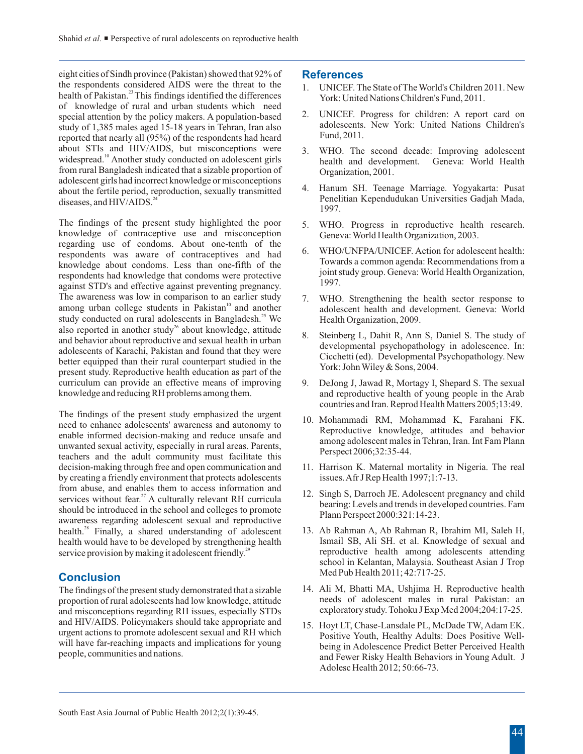eight cities of Sindh province (Pakistan) showed that 92% of the respondents considered AIDS were the threat to the 1. UNICEF. The State of The World's Children 2011. New health of Pakistan.<sup>23</sup> This findings identified the differences York: United Nations Children's Fund, 2011. of knowledge of rural and urban students which need special attention by the policy makers. A population-based and the UNICEF. Progress for children: A report card on study of 1.385 males aged 15-18 years in Tehran. Iran also study of 1,385 males aged 15-18 years in Tehran, Iran also adolescents.<br>
reported that pearly all  $(95\%)$  of the respondents had heard Fund, 2011. reported that nearly all (95%) of the respondents had heard about STIs and HIV/AIDS, but misconceptions were 3. WHO. The second decade: Improving adolescent widespread.<sup>10</sup> Another study conducted on adolescent girls health and development. Geneva: World Health widespread.<sup>10</sup> Another study conducted on adolescent girls health and development. The health and development. General Bangladesh indicated that a sizable proportion of Organization, 2001. from rural Bangladesh indicated that a sizable proportion of adolescent girls had incorrect knowledge or misconceptions about the fertile period, reproduction, sexually transmitted 4. Hanum SH. Teenage Marriage. Yogyakarta: Pusat 224 Penelitian Kependudukan Universities Gadjah Mada, diseases, and HIV/AIDS.<sup>24</sup>

The findings of the present study highlighted the poor 5. WHO. Progress in reproductive health research. knowledge of contraceptive use and misconception Geneva: World Health Organization, 2003. regarding use of condoms. About one-tenth of the Figure and the contraceptives and had b. WHO/UNFPA/UNICEF. Action for adolescent health:<br>
respondents was aware of contraceptives and had b. Towards a common agenda: Recommendations from a knowledge about condoms. Less than one-fifth of the subsequently interesting a common agent as recommendations from a knowledge that condoms were protective interesting interesting and knowledge that condoms were protectiv respondents had knowledge that condoms were protective  $\frac{10 \text{ m/s}}{1997}$ against STD's and effective against preventing pregnancy. The awareness was low in comparison to an earlier study 7. WHO. Strengthening the health sector response to among urban college students in Pakistan<sup>10</sup> and another adolescent health and development. Geneva: World study conducted on rural adolescents in Bangladesh.<sup>25</sup> We Health Organization, 2009.<br>also reported in another study<sup>26</sup> about knowledge, attitude also reported in another study<sup>26</sup> about knowledge, attitude<br>and behavior about reproductive and sexual health in urban<br>adolescents of Karachi, Pakistan and found that they were<br>better equipped than their rural counterpart curriculum can provide an effective means of improving 9. DeJong J, Jawad R, Mortagy I, Shepard S. The sexual knowledge and reducing RH problems among them. and reproductive health of young people in the Arab

The findings of the present study emphasized the urgent<br>need to enhance adolescents' awareness and autonomy to<br>enable informed decision-making and reduce unsafe and<br>unwanted sexual activity, especially in rural areas. Pare decision-making through free and open communication and 11. Harrison K. Maternal mortality in Nigeria. The real by creating a friendly environment that protects adolescents issues. Afr J Rep Health 1997;1:7-13. from abuse, and enables them to access information and services without fear.<sup>27</sup> A culturally relevant RH curricula<br>should be introduced in the school and colleges to promote<br>awareness regarding adolescent sexual and reproductive<br>health.<sup>28</sup> Finally, a shared understanding of health.<sup>28</sup> Finally, a shared understanding of adolescent 13. Ab Rahman A, Ab Rahman R, Ibrahim MI, Saleh H, health would have to be developed by strengthening health Ismail SB, Ali SH. et al. Knowledge of sexual and health would have to be developed by strengthening health service provision by making it adolescent friendly.<sup>29</sup> reproductive health among adolescents attending

# **Conclusion**

proportion of rural adolescents had low knowledge, attitude needs of adolescent males in rural Pakistan: and misconceptions regarding RH issues, especially STDs exploratory study. To hoku J Exp Med 2004;204:17-25. and misconceptions regarding RH issues, especially STDs and HIV/AIDS. Policymakers should take appropriate and 15. Hoyt LT, Chase-Lansdale PL, McDade TW, Adam EK. urgent actions to promote adolescent sexual and RH which Positive Youth, Healthy Adults: Does Positive Wellwill have far-reaching impacts and implications for young<br>people, communities and nations.<br>and Fewer Risky Health Behaviors in Young Adult I

# **References**

- 
- 
- 
- 1997.
- 
- 
- 
- 
- countries and Iran. Reprod Health Matters 2005;13:49.
- 
- 
- 
- school in Kelantan, Malaysia. Southeast Asian J Trop Med Pub Health 2011; 42:717-25.
- The findings of the present study demonstrated that a sizable 14. Ali M, Bhatti MA, Ushjima H. Reproductive health proportion of rural adolescents had low knowledge, attitude needs of adolescent males in rural Pakistan: an
	- and Fewer Risky Health Behaviors in Young Adult. J Adolesc Health 2012; 50:66-73.